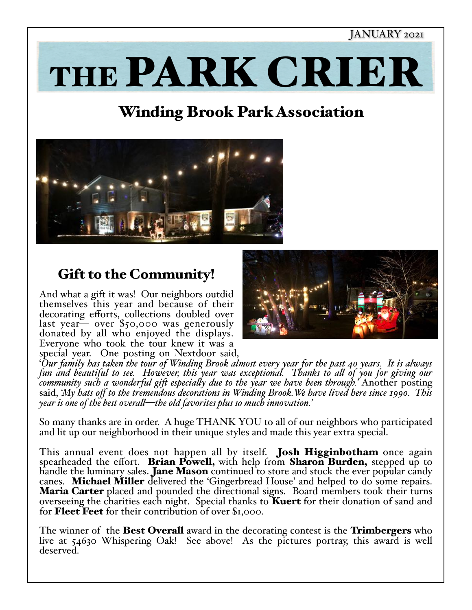### JANUARY 2021

# THE PARK CRIER

# Winding Brook Park Association



## Gift to the Community!

And what a gift it was! Our neighbors outdid themselves this year and because of their decorating efforts, collections doubled over<br>last year— over \$50,000 was generously donated by all who enjoyed the displays. Everyone who took the tour knew it was a special year. One posting on Nextdoor said,



'*Our family has taken the tour of Winding Brook almost every year for the past 40 years. It is always*  fun and beautiful to see. However, this year was exceptional. Thanks to all of you for giving our<br>community such a wonderful gift especially due to the year we have been through.' Another posting<br>said, 'My hats off to the

So many thanks are in order. A huge THANK YOU to all of our neighbors who participated and lit up our neighborhood in their unique styles and made this year extra special.

This annual event does not happen all by itself. Josh Higginbotham once again spearheaded the effort. Brian Powell, with help from Sharon Burden, stepped up to handle the luminary sales. Jane Mason continued to store and s canes. **Michael Miller** delivered the 'Gingerbread House' and helped to do some repairs. **Maria Carter** placed and pounded the directional signs. Board members took their turns overseeing the charities each night. Special thanks to **Kuert** for their donation of sand and for **Fleet Feet** for their contribution of over \$1,000.

The winner of the **Best Overall** award in the decorating contest is the **Trimbergers** who live at 54630 Whispering Oak! See above! As the pictures portray, this award is well deserved.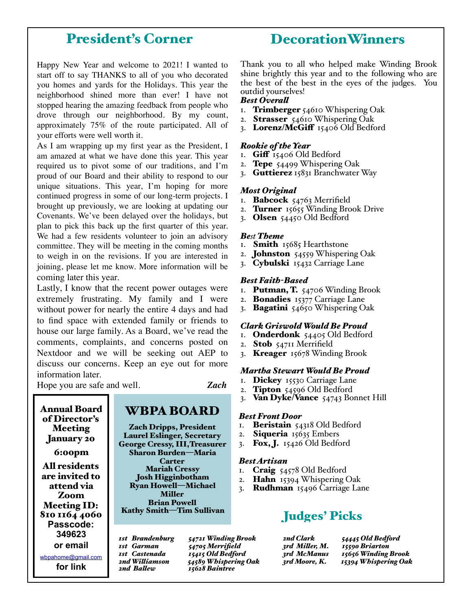## President's Corner

Happy New Year and welcome to 2021! I wanted to start off to say THANKS to all of you who decorated you homes and yards for the Holidays. This year the neighborhood shined more than ever! I have not stopped hearing the amazing feedback from people who drove through our neighborhood. By my count, approximately 75% of the route participated. All of your efforts were well worth it.

As I am wrapping up my first year as the President, I am amazed at what we have done this year. This year required us to pivot some of our traditions, and I'm proud of our Board and their ability to respond to our unique situations. This year, I'm hoping for more continued progress in some of our long-term projects. I brought up previously, we are looking at updating our Covenants. We've been delayed over the holidays, but plan to pick this back up the first quarter of this year. We had a few residents volunteer to join an advisory committee. They will be meeting in the coming months to weigh in on the revisions. If you are interested in joining, please let me know. More information will be coming later this year.

Lastly, I know that the recent power outages were extremely frustrating. My family and I were without power for nearly the entire 4 days and had to find space with extended family or friends to house our large family. As a Board, we've read the comments, complaints, and concerns posted on Nextdoor and we will be seeking out AEP to discuss our concerns. Keep an eye out for more information later.

Hope you are safe and well. *Zach*

of Director's Meeting January 20 6:00pm All residents are invited to attend via Zoom Meeting ID: 810 1164 4060 **Passcode: 349623 or email** 

Annual Board

[wbpahome@gmail.com](mailto:wbpahome@gmail.com)

**for link**

Laurel Eslinger, Secretary George Cressy, III,Treasurer Sharon Burden—Maria Carter Mariah Cressy Josh Higginbotham Ryan Howell—Michael Miller Brian Powell Kathy Smith—Tim Sullivan

WBPA BOARD

Zach Dripps, President

*1st Brandenburg 54721 Winding Brook 1st Garman 54705 Merrifield 1st Castenada 15415 Old Bedford 2nd Wi!iamson 54589 Whispering Oak 2nd Ba!ew 15628 Baintree*

## DecorationWinners

Thank you to all who helped make Winding Brook shine brightly this year and to the following who are the best of the best in the eyes of the judges. You outdid yourselves!

#### *Best Overa!*

- 1. Trimberger 54610 Whispering Oak
- 2. Strasser 54610 Whispering Oak
- 3. Lorenz/McGiff  $15406$  Old Bedford

#### *Rookie of the Year*

- 1. Giff  $I_{54}$ 06 Old Bedford
- 2. **Tepe**  $54499$  Whispering Oak
- 3. Guttierez 15831 Branchwater Way

#### *Most Original*

- 1. **Babcock** 54763 Merrifield
- 2. Turner  $15655$  Winding Brook Drive
- 3. Olsen  $54450$  Old Bedford

#### *Best Theme*

- 1. **Smith** 15685 Hearthstone
- 2. **Johnston**  $54559$  Whispering Oak
- 3. Cybulski 15432 Carriage Lane

#### *Best Faith-Based*

- I. **Putman, T.**  $54706$  Winding Brook
- 2. **Bonadies** 15377 Carriage Lane
- 3. Bagatini  $54650$  Whispering Oak

#### *Clark Griswold Would Be Proud*

- I. Onderdonk 54405 Old Bedford
- 2. Stob 54711 Merrifield
- 3. Kreager 15678 Winding Brook

#### *Martha Stewart Would Be Proud*

- 1. Dickey 15530 Carriage Lane
- 2. Tipton 54596 Old Bedford
- 3. Van Dyke/Vance 54743 Bonnet Hill

#### *Best Front Door*

- 1. Beristain 54318 Old Bedford
- 2. Siqueria 15635 Embers
- 3. Fox, J.  $15426$  Old Bedford

#### *Best Artisan*

- 1. **Craig**  $54578$  Old Bedford
- 2. **Hahn** 15394 Whispering Oak
- 3. **Rudhman**  $15496$  Carriage Lane

## Judges' Picks

| 2nd Clark      | 54445 Old Bedford    |
|----------------|----------------------|
| 3rd Miller, M. | 15590 Briarton       |
| 3rd McManus    | 15656 Winding Brook  |
| 3rd Moore, K.  | 15394 Whispering Oak |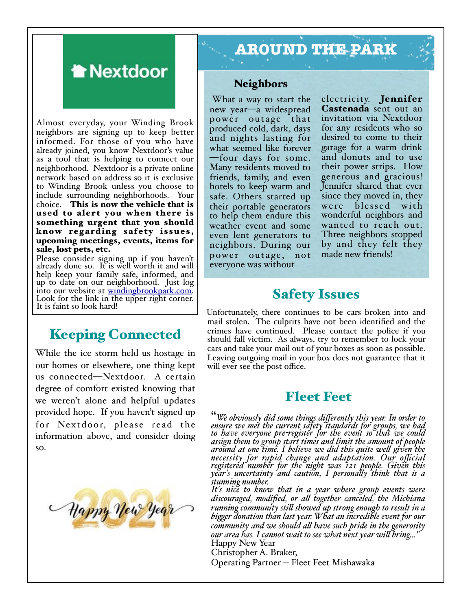

Almost everyday, your Winding Brook neighbors are signing up to keep better informed. For those of you who have already joined, you know Nextdoor's value as a tool that is helping to connect our neighborhood. Nextdoor is a private online network based on address so it is exclusive to Winding Brook unless you choose to include surrounding neighborhoods. Your choice. This is now the vehicle that is used to alert you when there is something urgent that you should know regarding safety issues, upcoming meetings, events, items for sale, lost pets, etc.

Please consider signing up if you haven't already done so. It is well worth it and will help keep your family safe, informed, and up to date on our neighborhood. Just log into our website at [windingbrookpark.com.](http://windingbrookpark.com) Look for the link i[n the upper right corner.](http://windingbrookpark.com) It is faint so look hard!

## Keeping Connected

While the ice storm held us hostage in our homes or elsewhere, one thing kept us connected—Nextdoor. A certain degree of comfort existed knowing that we weren't alone and helpful updates provided hope. If you haven't signed up for Nextdoor, please read the information above, and consider doing so.



# **AROUND THE PARK**

#### Neighbors

 What a way to start the new year—a widespread power outage that produced cold, dark, days and nights lasting for what seemed like forever —four days for some. Many residents moved to friends, family, and even hotels to keep warm and safe. Others started up their portable generators to help them endure this weather event and some even lent generators to neighbors. During our power outage, not everyone was without

electricity. Jennifer Castenada sent out an invitation via Nextdoor for any residents who so desired to come to their garage for a warm drink and donuts and to use their power strips. How generous and gracious! Jennifer shared that ever since they moved in, they were blessed with wonderful neighbors and wanted to reach out. Three neighbors stopped by and they felt they made new friends!

## Safety Issues

Unfortunately, there continues to be cars broken into and mail stolen. The culprits have not been identified and the crimes have continued. Please contact the police if you should fall victim. As always, try to remember to lock your cars and take your mail out of your boxes as soon as possible. Leaving outgoing mail in your box does not guarantee that it will ever see the post office.

## Fleet Feet

"*We obviously did some things differently this year. In order to ensure we met the current safety standards for groups, we had to have everyone pre-register for the event so that we could assign them to group start times and limit the amount of people around at one time. I believe we did this quite we! given the necessity for rapid change and adaptation. Our official registered number for the night was 121 people. Given this year's uncertainty and caution, I persona!y think that is a stunning number.*

*It's nice to know that in a year where group events were discouraged, modified, or a! together canceled, the Michiana running community sti! showed up strong enough to result in a bi'er donation than last year. What an incredible event for our community and we should a! have such pride in the generosity our area has. I cannot wait to see what next year wi! bring…"* Happy New Year

Christopher A. Braker, Operating Partner -- Fleet Feet Mishawaka